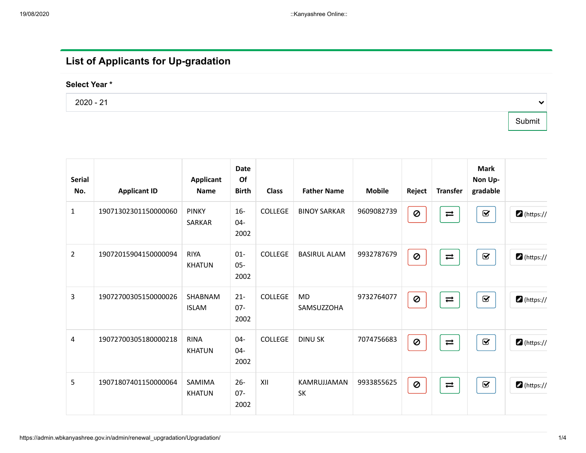## List of Applicants for Up-gradation

## Select Year \*

2020 - 21

Submit

 $\checkmark$ 

| <b>Serial</b><br>No. | <b>Applicant ID</b>  | <b>Applicant</b><br><b>Name</b> | <b>Date</b><br>Of<br><b>Birth</b> | <b>Class</b>   | <b>Father Name</b>       | <b>Mobile</b> | Reject                   | <b>Transfer</b>    | <b>Mark</b><br>Non Up-<br>gradable |                     |
|----------------------|----------------------|---------------------------------|-----------------------------------|----------------|--------------------------|---------------|--------------------------|--------------------|------------------------------------|---------------------|
| $\mathbf{1}$         | 19071302301150000060 | <b>PINKY</b><br>SARKAR          | $16 -$<br>04-<br>2002             | <b>COLLEGE</b> | <b>BINOY SARKAR</b>      | 9609082739    | $\pmb{\heartsuit}$       | $\rightleftarrows$ | $\mathbf{\nabla}$                  | $\bullet$ (https:// |
| $\overline{2}$       | 19072015904150000094 | <b>RIYA</b><br><b>KHATUN</b>    | $01 -$<br>$05 -$<br>2002          | <b>COLLEGE</b> | <b>BASIRUL ALAM</b>      | 9932787679    | Ø                        | $\rightleftarrows$ | $\mathbf{\overline{S}}$            | $\bullet$ (https:// |
| $\overline{3}$       | 19072700305150000026 | SHABNAM<br><b>ISLAM</b>         | $21 -$<br>$07 -$<br>2002          | <b>COLLEGE</b> | <b>MD</b><br>SAMSUZZOHA  | 9732764077    | 0                        | $\rightleftarrows$ | $\mathbf{\overline{S}}$            | $\bullet$ (https:// |
| 4                    | 19072700305180000218 | <b>RINA</b><br><b>KHATUN</b>    | 04-<br>$04 -$<br>2002             | <b>COLLEGE</b> | <b>DINU SK</b>           | 7074756683    | Ø                        | $\rightleftarrows$ | $\mathbf G$                        | $\bullet$ (https:// |
| 5                    | 19071807401150000064 | SAMIMA<br><b>KHATUN</b>         | $26 -$<br>$07 -$<br>2002          | XII            | KAMRUJJAMAN<br><b>SK</b> | 9933855625    | $\boldsymbol{\emptyset}$ | $\rightleftarrows$ | $\mathbf{\nabla}$                  | $\bullet$ (https:// |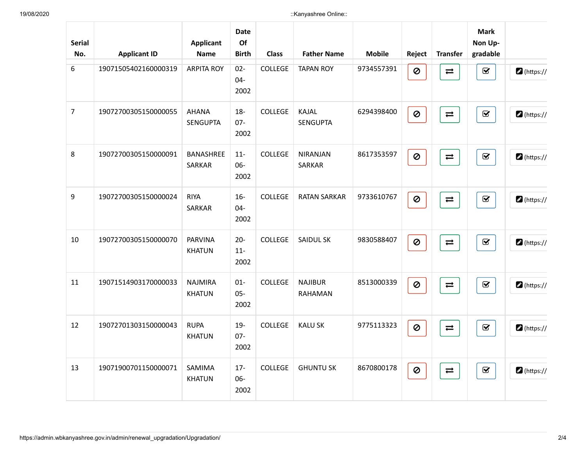| <b>Serial</b><br>No. | <b>Applicant ID</b>  | <b>Applicant</b><br><b>Name</b> | <b>Date</b><br>Of<br><b>Birth</b> | <b>Class</b>   | <b>Father Name</b>               | <b>Mobile</b> | Reject                   | <b>Transfer</b>    | <b>Mark</b><br>Non Up-<br>gradable |                     |
|----------------------|----------------------|---------------------------------|-----------------------------------|----------------|----------------------------------|---------------|--------------------------|--------------------|------------------------------------|---------------------|
| 6                    | 19071505402160000319 | <b>ARPITA ROY</b>               | $02 -$<br>$04 -$<br>2002          | <b>COLLEGE</b> | <b>TAPAN ROY</b>                 | 9734557391    | $\pmb{\heartsuit}$       | $\rightleftarrows$ | $\overline{\mathbf{S}}$            | $\bullet$ (https:// |
| $\overline{7}$       | 19072700305150000055 | <b>AHANA</b><br><b>SENGUPTA</b> | $18 -$<br>$07 -$<br>2002          | <b>COLLEGE</b> | KAJAL<br><b>SENGUPTA</b>         | 6294398400    | $\pmb{\heartsuit}$       | $\rightleftarrows$ | $\overline{\mathbf{S}}$            | https://            |
| 8                    | 19072700305150000091 | BANASHREE<br><b>SARKAR</b>      | $11-$<br>06-<br>2002              | <b>COLLEGE</b> | <b>NIRANJAN</b><br><b>SARKAR</b> | 8617353597    | $\boldsymbol{\emptyset}$ | $\rightleftarrows$ | $\mathbf{\overline{S}}$            | $\bullet$ (https:// |
| 9                    | 19072700305150000024 | <b>RIYA</b><br>SARKAR           | $16-$<br>$04 -$<br>2002           | <b>COLLEGE</b> | <b>RATAN SARKAR</b>              | 9733610767    | $\pmb{\heartsuit}$       | $\rightleftarrows$ | $\overline{\mathbf{S}}$            | $\bullet$ (https:// |
| 10                   | 19072700305150000070 | <b>PARVINA</b><br><b>KHATUN</b> | $20 -$<br>$11-$<br>2002           | <b>COLLEGE</b> | <b>SAIDUL SK</b>                 | 9830588407    | $\pmb{\heartsuit}$       | $\rightleftarrows$ | $\overline{\mathbf{S}}$            | https://            |
| 11                   | 19071514903170000033 | <b>NAJMIRA</b><br><b>KHATUN</b> | $01 -$<br>$05 -$<br>2002          | <b>COLLEGE</b> | <b>NAJIBUR</b><br><b>RAHAMAN</b> | 8513000339    | $\pmb{\heartsuit}$       | $\rightleftarrows$ | $\mathbf{\overline{S}}$            | https://            |
| 12                   | 19072701303150000043 | <b>RUPA</b><br><b>KHATUN</b>    | $19 -$<br>$07 -$<br>2002          | <b>COLLEGE</b> | <b>KALU SK</b>                   | 9775113323    | Ø                        | $\rightleftarrows$ | $\mathbf{\overline{v}}$            | $\bullet$ (https:// |
| 13                   | 19071900701150000071 | SAMIMA<br><b>KHATUN</b>         | $17 -$<br>06-<br>2002             | <b>COLLEGE</b> | <b>GHUNTU SK</b>                 | 8670800178    | $\boldsymbol{\emptyset}$ | $\rightleftarrows$ | $\mathbf Q$                        | $\bullet$ (https:// |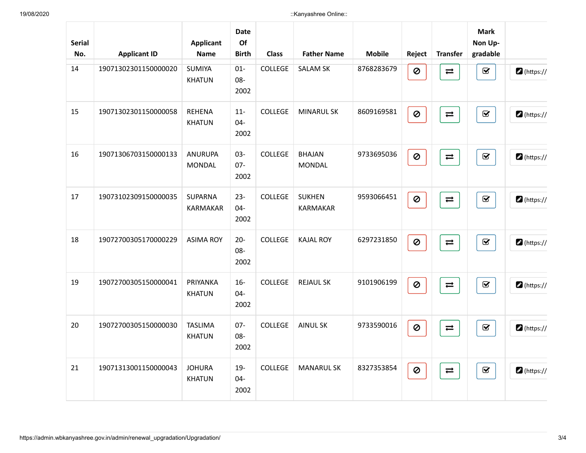| <b>Serial</b><br>No. | <b>Applicant ID</b>  | <b>Applicant</b><br><b>Name</b>   | <b>Date</b><br>Of<br><b>Birth</b> | <b>Class</b>   | <b>Father Name</b>               | <b>Mobile</b> | Reject                   | <b>Transfer</b>    | <b>Mark</b><br>Non Up-<br>gradable    |                     |
|----------------------|----------------------|-----------------------------------|-----------------------------------|----------------|----------------------------------|---------------|--------------------------|--------------------|---------------------------------------|---------------------|
| 14                   | 19071302301150000020 | <b>SUMIYA</b><br><b>KHATUN</b>    | $01 -$<br>$08 -$<br>2002          | COLLEGE        | <b>SALAM SK</b>                  | 8768283679    | $\pmb{\heartsuit}$       | $\rightleftarrows$ | $\mathbf{\overline{S}}$               | $\bullet$ (https:// |
| 15                   | 19071302301150000058 | <b>REHENA</b><br><b>KHATUN</b>    | $11-$<br>$04 -$<br>2002           | <b>COLLEGE</b> | <b>MINARUL SK</b>                | 8609169581    | $\boldsymbol{\emptyset}$ | $\rightleftarrows$ | $\textcolor{red}{\blacktriangledown}$ | $\bullet$ (https:// |
| 16                   | 19071306703150000133 | <b>ANURUPA</b><br><b>MONDAL</b>   | $03 -$<br>$07 -$<br>2002          | <b>COLLEGE</b> | <b>BHAJAN</b><br><b>MONDAL</b>   | 9733695036    | $\pmb{\heartsuit}$       | $\rightleftarrows$ | $\mathbf G$                           | $\bullet$ (https:// |
| 17                   | 19073102309150000035 | <b>SUPARNA</b><br><b>KARMAKAR</b> | $23 -$<br>$04 -$<br>2002          | <b>COLLEGE</b> | <b>SUKHEN</b><br><b>KARMAKAR</b> | 9593066451    | $\pmb{\heartsuit}$       | $\rightleftarrows$ | $\mathbf G$                           | $\bullet$ (https:// |
| 18                   | 19072700305170000229 | <b>ASIMA ROY</b>                  | $20 -$<br>$08 -$<br>2002          | <b>COLLEGE</b> | <b>KAJAL ROY</b>                 | 6297231850    | $\pmb{\heartsuit}$       | $\rightleftarrows$ | $\mathbf{\overline{S}}$               | https://            |
| 19                   | 19072700305150000041 | PRIYANKA<br><b>KHATUN</b>         | $16-$<br>$04 -$<br>2002           | <b>COLLEGE</b> | <b>REJAUL SK</b>                 | 9101906199    | $\pmb{\heartsuit}$       | $\rightleftarrows$ | $\textcolor{red}{\blacktriangledown}$ | https://            |
| 20                   | 19072700305150000030 | <b>TASLIMA</b><br><b>KHATUN</b>   | $07 -$<br>$08 -$<br>2002          | <b>COLLEGE</b> | <b>AINUL SK</b>                  | 9733590016    | Ø                        | $\rightleftarrows$ | $\mathbf G$                           | https://            |
| 21                   | 19071313001150000043 | <b>JOHURA</b><br><b>KHATUN</b>    | $19-$<br>04-<br>2002              | <b>COLLEGE</b> | <b>MANARUL SK</b>                | 8327353854    | $\pmb{\heartsuit}$       | $\rightleftarrows$ | $\mathbf G$                           | $\bullet$ (https:// |